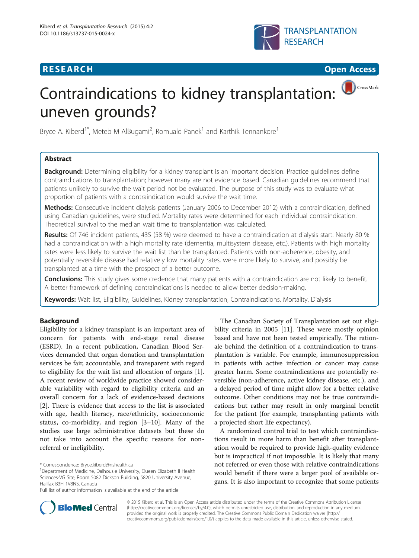## **RESEARCH CHINESE ARCH CHINESE ARCH CHINESE ARCH <b>CHINESE ARCH CHINESE ARCH CHINESE ARCH <b>CHINESE** ARCH **CHINESE ARCH** CHINESE ARCH **CHINESE ARCH 2014**





CrossMark

# Contraindications to kidney transplantation: uneven grounds?

Bryce A. Kiberd<sup>1\*</sup>, Meteb M AlBugami<sup>2</sup>, Romuald Panek<sup>1</sup> and Karthik Tennankore<sup>1</sup>

## Abstract

Background: Determining eligibility for a kidney transplant is an important decision. Practice guidelines define contraindications to transplantation; however many are not evidence based. Canadian guidelines recommend that patients unlikely to survive the wait period not be evaluated. The purpose of this study was to evaluate what proportion of patients with a contraindication would survive the wait time.

Methods: Consecutive incident dialysis patients (January 2006 to December 2012) with a contraindication, defined using Canadian guidelines, were studied. Mortality rates were determined for each individual contraindication. Theoretical survival to the median wait time to transplantation was calculated.

Results: Of 746 incident patients, 435 (58 %) were deemed to have a contraindication at dialysis start. Nearly 80 % had a contraindication with a high mortality rate (dementia, multisystem disease, etc.). Patients with high mortality rates were less likely to survive the wait list than be transplanted. Patients with non-adherence, obesity, and potentially reversible disease had relatively low mortality rates, were more likely to survive, and possibly be transplanted at a time with the prospect of a better outcome.

Conclusions: This study gives some credence that many patients with a contraindication are not likely to benefit. A better framework of defining contraindications is needed to allow better decision-making.

Keywords: Wait list, Eligibility, Guidelines, Kidney transplantation, Contraindications, Mortality, Dialysis

## Background

Eligibility for a kidney transplant is an important area of concern for patients with end-stage renal disease (ESRD). In a recent publication, Canadian Blood Services demanded that organ donation and transplantation services be fair, accountable, and transparent with regard to eligibility for the wait list and allocation of organs [\[1](#page-6-0)]. A recent review of worldwide practice showed considerable variability with regard to eligibility criteria and an overall concern for a lack of evidence-based decisions [[2\]](#page-6-0). There is evidence that access to the list is associated with age, health literacy, race/ethnicity, socioeconomic status, co-morbidity, and region [[3](#page-6-0)–[10\]](#page-6-0). Many of the studies use large administrative datasets but these do not take into account the specific reasons for nonreferral or ineligibility.

The Canadian Society of Transplantation set out eligibility criteria in 2005 [[11\]](#page-6-0). These were mostly opinion based and have not been tested empirically. The rationale behind the definition of a contraindication to transplantation is variable. For example, immunosuppression in patients with active infection or cancer may cause greater harm. Some contraindications are potentially reversible (non-adherence, active kidney disease, etc.), and a delayed period of time might allow for a better relative outcome. Other conditions may not be true contraindications but rather may result in only marginal benefit for the patient (for example, transplanting patients with a projected short life expectancy).

A randomized control trial to test which contraindications result in more harm than benefit after transplantation would be required to provide high-quality evidence but is impractical if not impossible. It is likely that many not referred or even those with relative contraindications would benefit if there were a larger pool of available organs. It is also important to recognize that some patients



© 2015 Kiberd et al. This is an Open Access article distributed under the terms of the Creative Commons Attribution License [\(http://creativecommons.org/licenses/by/4.0\)](http://creativecommons.org/licenses/by/4.0), which permits unrestricted use, distribution, and reproduction in any medium, provided the original work is properly credited. The Creative Commons Public Domain Dedication waiver [\(http://](http://creativecommons.org/publicdomain/zero/1.0/) [creativecommons.org/publicdomain/zero/1.0/\)](http://creativecommons.org/publicdomain/zero/1.0/) applies to the data made available in this article, unless otherwise stated.

<sup>\*</sup> Correspondence: [Bryce.kiberd@nshealth.ca](mailto:Bryce.kiberd@nshealth.ca) <sup>1</sup>

<sup>&</sup>lt;sup>1</sup>Department of Medicine, Dalhousie University, Queen Elizabeth II Health Sciences-VG Site, Room 5082 Dickson Building, 5820 University Avenue, Halifax B3H 1V8NS, Canada

Full list of author information is available at the end of the article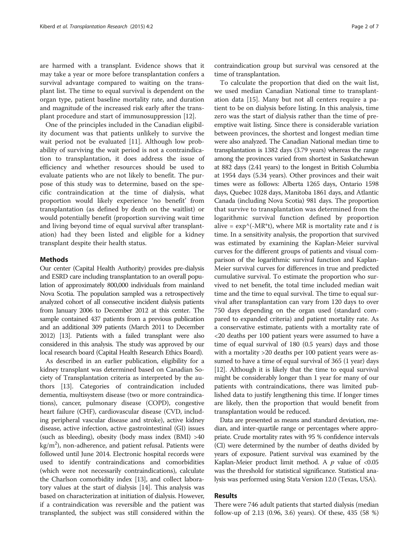are harmed with a transplant. Evidence shows that it may take a year or more before transplantation confers a survival advantage compared to waiting on the transplant list. The time to equal survival is dependent on the organ type, patient baseline mortality rate, and duration and magnitude of the increased risk early after the transplant procedure and start of immunosuppression [[12\]](#page-6-0).

One of the principles included in the Canadian eligibility document was that patients unlikely to survive the wait period not be evaluated [[11](#page-6-0)]. Although low probability of surviving the wait period is not a contraindication to transplantation, it does address the issue of efficiency and whether resources should be used to evaluate patients who are not likely to benefit. The purpose of this study was to determine, based on the specific contraindication at the time of dialysis, what proportion would likely experience 'no benefit' from transplantation (as defined by death on the waitlist) or would potentially benefit (proportion surviving wait time and living beyond time of equal survival after transplantation) had they been listed and eligible for a kidney transplant despite their health status.

### Methods

Our center (Capital Health Authority) provides pre-dialysis and ESRD care including transplantation to an overall population of approximately 800,000 individuals from mainland Nova Scotia. The population sampled was a retrospectively analyzed cohort of all consecutive incident dialysis patients from January 2006 to December 2012 at this center. The sample contained 437 patients from a previous publication and an additional 309 patients (March 2011 to December 2012) [[13\]](#page-6-0). Patients with a failed transplant were also considered in this analysis. The study was approved by our local research board (Capital Health Research Ethics Board).

As described in an earlier publication, eligibility for a kidney transplant was determined based on Canadian Society of Transplantation criteria as interpreted by the authors [[13](#page-6-0)]. Categories of contraindication included dementia, multisystem disease (two or more contraindications), cancer, pulmonary disease (COPD), congestive heart failure (CHF), cardiovascular disease (CVD, including peripheral vascular disease and stroke), active kidney disease, active infection, active gastrointestinal (GI) issues (such as bleeding), obesity (body mass index  $(BMI) > 40$  $\text{kg}/\text{m}^2$ ), non-adherence, and patient refusal. Patients were followed until June 2014. Electronic hospital records were used to identify contraindications and comorbidities (which were not necessarily contraindications), calculate the Charlson comorbidity index [[13](#page-6-0)], and collect laboratory values at the start of dialysis [\[14\]](#page-6-0). This analysis was based on characterization at initiation of dialysis. However, if a contraindication was reversible and the patient was transplanted, the subject was still considered within the

contraindication group but survival was censored at the time of transplantation.

To calculate the proportion that died on the wait list, we used median Canadian National time to transplantation data [\[15\]](#page-6-0). Many but not all centers require a patient to be on dialysis before listing. In this analysis, time zero was the start of dialysis rather than the time of preemptive wait listing. Since there is considerable variation between provinces, the shortest and longest median time were also analyzed. The Canadian National median time to transplantation is 1382 days (3.79 years) whereas the range among the provinces varied from shortest in Saskatchewan at 882 days (2.41 years) to the longest in British Columbia at 1954 days (5.34 years). Other provinces and their wait times were as follows: Alberta 1265 days, Ontario 1598 days, Quebec 1028 days, Manitoba 1861 days, and Atlantic Canada (including Nova Scotia) 981 days. The proportion that survive to transplantation was determined from the logarithmic survival function defined by proportion alive =  $\exp^{-1}(-MR^*t)$ , where MR is mortality rate and t is time. In a sensitivity analysis, the proportion that survived was estimated by examining the Kaplan-Meier survival curves for the different groups of patients and visual comparison of the logarithmic survival function and Kaplan-Meier survival curves for differences in true and predicted cumulative survival. To estimate the proportion who survived to net benefit, the total time included median wait time and the time to equal survival. The time to equal survival after transplantation can vary from 120 days to over 750 days depending on the organ used (standard compared to expanded criteria) and patient mortality rate. As a conservative estimate, patients with a mortality rate of <20 deaths per 100 patient years were assumed to have a time of equal survival of 180 (0.5 years) days and those with a mortality >20 deaths per 100 patient years were assumed to have a time of equal survival of 365 (1 year) days [[12](#page-6-0)]. Although it is likely that the time to equal survival might be considerably longer than 1 year for many of our patients with contraindications, there was limited published data to justify lengthening this time. If longer times are likely, then the proportion that would benefit from transplantation would be reduced.

Data are presented as means and standard deviation, median, and inter-quartile range or percentages where appropriate. Crude mortality rates with 95 % confidence intervals (CI) were determined by the number of deaths divided by years of exposure. Patient survival was examined by the Kaplan-Meier product limit method. A  $p$  value of <0.05 was the threshold for statistical significance. Statistical analysis was performed using Stata Version 12.0 (Texas, USA).

## Results

There were 746 adult patients that started dialysis (median follow-up of 2.13 (0.96, 3.6) years). Of these, 435 (58 %)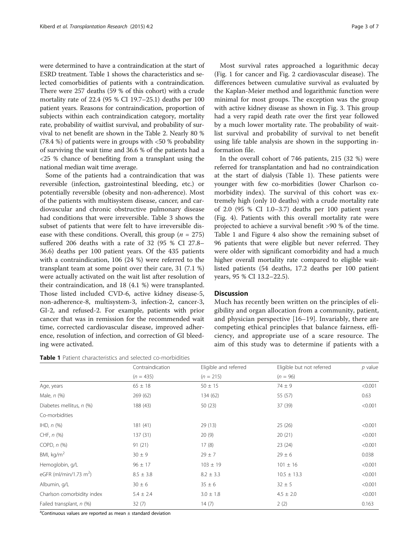were determined to have a contraindication at the start of ESRD treatment. Table 1 shows the characteristics and selected comorbidities of patients with a contraindication. There were 257 deaths (59 % of this cohort) with a crude mortality rate of 22.4 (95 % CI 19.7–25.1) deaths per 100 patient years. Reasons for contraindication, proportion of subjects within each contraindication category, mortality rate, probability of waitlist survival, and probability of survival to net benefit are shown in the Table [2](#page-3-0). Nearly 80 % (78.4 %) of patients were in groups with <50 % probability of surviving the wait time and 36.6 % of the patients had a <25 % chance of benefiting from a transplant using the national median wait time average.

Some of the patients had a contraindication that was reversible (infection, gastrointestinal bleeding, etc.) or potentially reversible (obesity and non-adherence). Most of the patients with multisystem disease, cancer, and cardiovascular and chronic obstructive pulmonary disease had conditions that were irreversible. Table [3](#page-3-0) shows the subset of patients that were felt to have irreversible disease with these conditions. Overall, this group ( $n = 275$ ) suffered 206 deaths with a rate of 32 (95 % CI 27.8– 36.6) deaths per 100 patient years. Of the 435 patients with a contraindication, 106 (24 %) were referred to the transplant team at some point over their care, 31 (7.1 %) were actually activated on the wait list after resolution of their contraindication, and 18 (4.1 %) were transplanted. Those listed included CVD-6, active kidney disease-5, non-adherence-8, multisystem-3, infection-2, cancer-3, GI-2, and refused-2. For example, patients with prior cancer that was in remission for the recommended wait time, corrected cardiovascular disease, improved adherence, resolution of infection, and correction of GI bleeding were activated.

Table 1 Patient characteristics and selected co-morbidities

Most survival rates approached a logarithmic decay (Fig. [1](#page-4-0) for cancer and Fig. [2](#page-4-0) cardiovascular disease). The differences between cumulative survival as evaluated by the Kaplan-Meier method and logarithmic function were minimal for most groups. The exception was the group with active kidney disease as shown in Fig. [3](#page-4-0). This group had a very rapid death rate over the first year followed by a much lower mortality rate. The probability of waitlist survival and probability of survival to net benefit using life table analysis are shown in the supporting information file.

In the overall cohort of 746 patients, 215 (32 %) were referred for transplantation and had no contraindication at the start of dialysis (Table 1). These patients were younger with few co-morbidities (lower Charlson comorbidity index). The survival of this cohort was extremely high (only 10 deaths) with a crude mortality rate of 2.0 (95 % CI 1.0–3.7) deaths per 100 patient years (Fig. [4\)](#page-4-0). Patients with this overall mortality rate were projected to achieve a survival benefit >90 % of the time. Table 1 and Figure [4](#page-4-0) also show the remaining subset of 96 patients that were eligible but never referred. They were older with significant comorbidity and had a much higher overall mortality rate compared to eligible waitlisted patients (54 deaths, 17.2 deaths per 100 patient years, 95 % CI 13.2–22.5).

## **Discussion**

Much has recently been written on the principles of eligibility and organ allocation from a community, patient, and physician perspective [\[16](#page-6-0)–[19](#page-6-0)]. Invariably, there are competing ethical principles that balance fairness, efficiency, and appropriate use of a scare resource. The aim of this study was to determine if patients with a

|                                    | Contraindication | Eligible and referred | Eligible but not referred | $p$ value |
|------------------------------------|------------------|-----------------------|---------------------------|-----------|
|                                    | $(n = 435)$      | $(n = 215)$           | $(n = 96)$                |           |
| Age, years                         | $65 \pm 18$      | $50 \pm 15$           | $74 \pm 9$                | < 0.001   |
| Male, n (%)                        | 269 (62)         | 134 (62)              | 55 (57)                   | 0.63      |
| Diabetes mellitus, n (%)           | 188 (43)         | 50(23)                | 37 (39)                   | < 0.001   |
| Co-morbidities                     |                  |                       |                           |           |
| $HD, n$ $(\%)$                     | 181 (41)         | 29(13)                | 25(26)                    | < 0.001   |
| CHF, $n$ $%$                       | 137(31)          | 20(9)                 | 20(21)                    | < 0.001   |
| COPD, $n$ $%$                      | 91(21)           | 17(8)                 | 23(24)                    | < 0.001   |
| BMI, $kg/m2$                       | $30 \pm 9$       | $29 \pm 7$            | $29 \pm 6$                | 0.038     |
| Hemoglobin, g/L                    | $96 \pm 17$      | $103 \pm 19$          | $101 \pm 16$              | < 0.001   |
| eGFR (ml/min/1.73 m <sup>2</sup> ) | $8.5 \pm 3.8$    | $8.2 \pm 3.3$         | $10.5 \pm 13.3$           | < 0.001   |
| Albumin, q/L                       | $30 \pm 6$       | $35 \pm 6$            | $32 \pm 5$                | < 0.001   |
| Charlson comorbidity index         | $5.4 \pm 2.4$    | $3.0 \pm 1.8$         | $4.5 \pm 2.0$             | < 0.001   |
| Failed transplant, n (%)           | 32(7)            | 14(7)                 | 2(2)                      | 0.163     |

<sup>a</sup>Continuous values are reported as mean ± standard deviation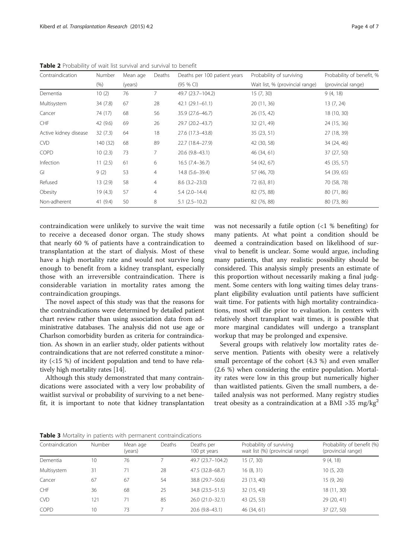| Contraindication      | Number   | Mean age | Deaths         | Deaths per 100 patient years | Probability of surviving        | Probability of benefit, % |
|-----------------------|----------|----------|----------------|------------------------------|---------------------------------|---------------------------|
|                       | (% )     | (years)  |                | $(95%$ CI)                   | Wait list, % (provincial range) | (provincial range)        |
| Dementia              | 10(2)    | 76       | 7              | 49.7 (23.7-104.2)            | 15(7, 30)                       | 9(4, 18)                  |
| Multisystem           | 34 (7.8) | 67       | 28             | $42.1(29.1-61.1)$            | 20 (11, 36)                     | 13(7, 24)                 |
| Cancer                | 74 (17)  | 68       | 56             | 35.9 (27.6–46.7)             | 26 (15, 42)                     | 18 (10, 30)               |
| CHF                   | 42 (9.6) | 69       | 26             | 29.7 (20.2-43.7)             | 32 (21, 49)                     | 24 (15, 36)               |
| Active kidney disease | 32(7.3)  | 64       | 18             | 27.6 (17.3-43.8)             | 35(23, 51)                      | 27 (18, 39)               |
| <b>CVD</b>            | 140 (32) | 68       | 89             | 22.7 (18.4-27.9)             | 42 (30, 58)                     | 34 (24, 46)               |
| COPD                  | 10(2.3)  | 73       | 7              | 20.6 (9.8-43.1)              | 46 (34, 61)                     | 37 (27, 50)               |
| Infection             | 11(2.5)  | 61       | 6              | $16.5(7.4-36.7)$             | 54 (42, 67)                     | 45 (35, 57)               |
| GI                    | 9(2)     | 53       | 4              | 14.8 (5.6-39.4)              | 57 (46, 70)                     | 54 (39, 65)               |
| Refused               | 13(2.9)  | 58       | 4              | $8.6(3.2 - 23.0)$            | 72 (63, 81)                     | 70 (58, 78)               |
| Obesity               | 19(4.3)  | 57       | $\overline{4}$ | $5.4(2.0-14.4)$              | 82 (75, 88)                     | 80 (71, 86)               |
| Non-adherent          | 41(9.4)  | 50       | 8              | $5.1(2.5-10.2)$              | 82 (76, 88)                     | 80 (73, 86)               |

<span id="page-3-0"></span>**Table 2** Probability of wait list survival and survival to benefit

contraindication were unlikely to survive the wait time to receive a deceased donor organ. The study shows that nearly 60 % of patients have a contraindication to transplantation at the start of dialysis. Most of these have a high mortality rate and would not survive long enough to benefit from a kidney transplant, especially those with an irreversible contraindication. There is considerable variation in mortality rates among the contraindication groupings.

The novel aspect of this study was that the reasons for the contraindications were determined by detailed patient chart review rather than using association data from administrative databases. The analysis did not use age or Charlson comorbidity burden as criteria for contraindication. As shown in an earlier study, older patients without contraindications that are not referred constitute a minority (<15 %) of incident population and tend to have relatively high mortality rates [\[14\]](#page-6-0).

Although this study demonstrated that many contraindications were associated with a very low probability of waitlist survival or probability of surviving to a net benefit, it is important to note that kidney transplantation

was not necessarily a futile option  $\langle 1 \times 1 \rangle$  benefiting) for many patients. At what point a condition should be deemed a contraindication based on likelihood of survival to benefit is unclear. Some would argue, including many patients, that any realistic possibility should be considered. This analysis simply presents an estimate of this proportion without necessarily making a final judgment. Some centers with long waiting times delay transplant eligibility evaluation until patients have sufficient wait time. For patients with high mortality contraindications, most will die prior to evaluation. In centers with relatively short transplant wait times, it is possible that more marginal candidates will undergo a transplant workup that may be prolonged and expensive.

Several groups with relatively low mortality rates deserve mention. Patients with obesity were a relatively small percentage of the cohort (4.3 %) and even smaller (2.6 %) when considering the entire population. Mortality rates were low in this group but numerically higher than waitlisted patients. Given the small numbers, a detailed analysis was not performed. Many registry studies treat obesity as a contraindication at a BMI >35 mg/kg<sup>2</sup>

Table 3 Mortality in patients with permanent contraindications

| Contraindication | <b>Number</b> | Mean age | Deaths | Deaths per         | Probability of surviving         | Probability of benefit (%)<br>(provincial range) |  |
|------------------|---------------|----------|--------|--------------------|----------------------------------|--------------------------------------------------|--|
|                  |               | (years)  |        | 100 pt years       | wait list (%) (provincial range) |                                                  |  |
| Dementia         | 10            | 76       |        | 49.7 (23.7-104.2)  | 15(7, 30)                        | 9(4, 18)                                         |  |
| Multisystem      | 31            |          | 28     | 47.5 (32.8–68.7)   | 16(8, 31)                        | 10(5, 20)                                        |  |
| Cancer           | 67            | 67       | 54     | 38.8 (29.7-50.6)   | 23 (13, 40)                      | 15(9, 26)                                        |  |
| CHF              | 36            | 68       | 25     | 34.8 (23.5 - 51.5) | 32(15, 43)                       | 18 (11, 30)                                      |  |
| <b>CVD</b>       | 121           |          | 85     | 26.0 (21.0-32.1)   | 43 (25, 53)                      | 29 (20, 41)                                      |  |
| COPD             | 10            | 73       |        | $20.6(9.8-43.1)$   | 46 (34, 61)                      | 37 (27, 50)                                      |  |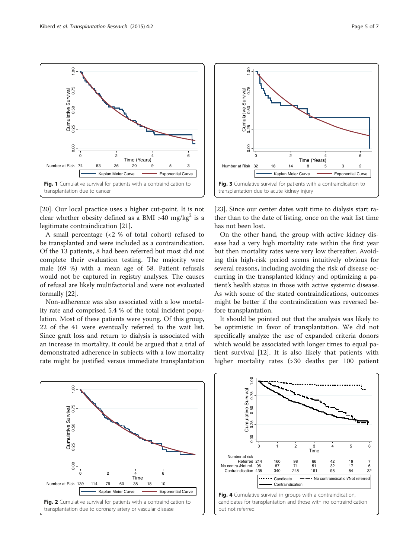<span id="page-4-0"></span>0.00 0.25 0.50 0.75 1.00 Cumulative Survival

0.00

Cumulative Survival<br> $0.25$   $0.50$   $0.75$ 

 $1.00$ 

transplantation due to cancer

0.00 Cumulative Survival<br>0.00 0.25 0.50 0.75 1.00

 $0.00$ 

Cumulative Survival<br>0.25 0.50 0.75

 $1,00$ 



Number at Risk 74 53 36 20 9 5 3

Fig. 1 Cumulative survival for patients with a contraindication to

0 2 4 6 Time (Years)

Kaplan Meier Curve **Exponential Curve** 

A small percentage (<2 % of total cohort) refused to be transplanted and were included as a contraindication. Of the 13 patients, 8 had been referred but most did not complete their evaluation testing. The majority were male (69 %) with a mean age of 58. Patient refusals would not be captured in registry analyses. The causes of refusal are likely multifactorial and were not evaluated formally [[22](#page-6-0)].

Non-adherence was also associated with a low mortality rate and comprised 5.4 % of the total incident population. Most of these patients were young. Of this group, 22 of the 41 were eventually referred to the wait list. Since graft loss and return to dialysis is associated with an increase in mortality, it could be argued that a trial of demonstrated adherence in subjects with a low mortality rate might be justified versus immediate transplantation



Fig. 2 Cumulative survival for patients with a contraindication to transplantation due to coronary artery or vascular disease



[[23\]](#page-6-0). Since our center dates wait time to dialysis start rather than to the date of listing, once on the wait list time has not been lost.

On the other hand, the group with active kidney disease had a very high mortality rate within the first year but then mortality rates were very low thereafter. Avoiding this high-risk period seems intuitively obvious for several reasons, including avoiding the risk of disease occurring in the transplanted kidney and optimizing a patient's health status in those with active systemic disease. As with some of the stated contraindications, outcomes might be better if the contraindication was reversed before transplantation.

It should be pointed out that the analysis was likely to be optimistic in favor of transplantation. We did not specifically analyze the use of expanded criteria donors which would be associated with longer times to equal patient survival [[12\]](#page-6-0). It is also likely that patients with higher mortality rates (>30 deaths per 100 patient



 $\frac{3}{2}$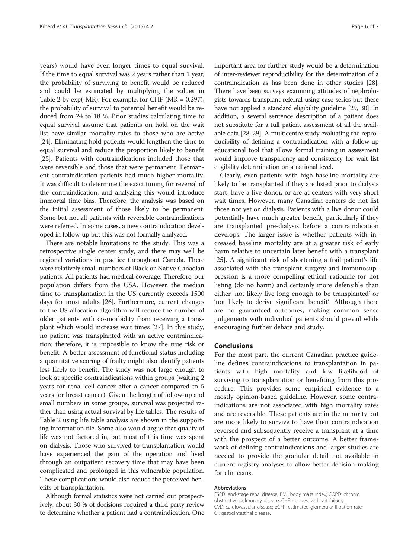years) would have even longer times to equal survival. If the time to equal survival was 2 years rather than 1 year, the probability of surviving to benefit would be reduced and could be estimated by multiplying the values in Table [2](#page-3-0) by  $exp(-MR)$ . For example, for CHF ( $MR = 0.297$ ), the probability of survival to potential benefit would be reduced from 24 to 18 %. Prior studies calculating time to equal survival assume that patients on hold on the wait list have similar mortality rates to those who are active [[24](#page-6-0)]. Eliminating hold patients would lengthen the time to equal survival and reduce the proportion likely to benefit [[25](#page-6-0)]. Patients with contraindications included those that were reversible and those that were permanent. Permanent contraindication patients had much higher mortality. It was difficult to determine the exact timing for reversal of the contraindication, and analyzing this would introduce immortal time bias. Therefore, the analysis was based on the initial assessment of those likely to be permanent. Some but not all patients with reversible contraindications were referred. In some cases, a new contraindication developed in follow-up but this was not formally analyzed.

There are notable limitations to the study. This was a retrospective single center study, and there may well be regional variations in practice throughout Canada. There were relatively small numbers of Black or Native Canadian patients. All patients had medical coverage. Therefore, our population differs from the USA. However, the median time to transplantation in the US currently exceeds 1500 days for most adults [\[26\]](#page-6-0). Furthermore, current changes to the US allocation algorithm will reduce the number of older patients with co-morbidity from receiving a transplant which would increase wait times [\[27\]](#page-6-0). In this study, no patient was transplanted with an active contraindication; therefore, it is impossible to know the true risk or benefit. A better assessment of functional status including a quantitative scoring of frailty might also identify patients less likely to benefit. The study was not large enough to look at specific contraindications within groups (waiting 2 years for renal cell cancer after a cancer compared to 5 years for breast cancer). Given the length of follow-up and small numbers in some groups, survival was projected rather than using actual survival by life tables. The results of Table [2](#page-3-0) using life table analysis are shown in the supporting information file. Some also would argue that quality of life was not factored in, but most of this time was spent on dialysis. Those who survived to transplantation would have experienced the pain of the operation and lived through an outpatient recovery time that may have been complicated and prolonged in this vulnerable population. These complications would also reduce the perceived benefits of transplantation.

Although formal statistics were not carried out prospectively, about 30 % of decisions required a third party review to determine whether a patient had a contraindication. One

important area for further study would be a determination of inter-reviewer reproducibility for the determination of a contraindication as has been done in other studies [\[28](#page-6-0)]. There have been surveys examining attitudes of nephrologists towards transplant referral using case series but these have not applied a standard eligibility guideline [\[29](#page-6-0), [30\]](#page-6-0). In addition, a several sentence description of a patient does not substitute for a full patient assessment of all the available data [\[28, 29\]](#page-6-0). A multicentre study evaluating the reproducibility of defining a contraindication with a follow-up educational tool that allows formal training in assessment would improve transparency and consistency for wait list eligibility determination on a national level.

Clearly, even patients with high baseline mortality are likely to be transplanted if they are listed prior to dialysis start, have a live donor, or are at centers with very short wait times. However, many Canadian centers do not list those not yet on dialysis. Patients with a live donor could potentially have much greater benefit, particularly if they are transplanted pre-dialysis before a contraindication develops. The larger issue is whether patients with increased baseline mortality are at a greater risk of early harm relative to uncertain later benefit with a transplant [[25\]](#page-6-0). A significant risk of shortening a frail patient's life associated with the transplant surgery and immunosuppression is a more compelling ethical rationale for not listing (do no harm) and certainly more defensible than either 'not likely live long enough to be transplanted' or 'not likely to derive significant benefit'. Although there are no guaranteed outcomes, making common sense judgements with individual patients should prevail while encouraging further debate and study.

## **Conclusions**

For the most part, the current Canadian practice guideline defines contraindications to transplantation in patients with high mortality and low likelihood of surviving to transplantation or benefiting from this procedure. This provides some empirical evidence to a mostly opinion-based guideline. However, some contraindications are not associated with high mortality rates and are reversible. These patients are in the minority but are more likely to survive to have their contraindication reversed and subsequently receive a transplant at a time with the prospect of a better outcome. A better framework of defining contraindications and larger studies are needed to provide the granular detail not available in current registry analyses to allow better decision-making for clinicians.

#### Abbreviations

ESRD: end-stage renal disease; BMI: body mass index; COPD: chronic obstructive pulmonary disease; CHF: congestive heart failure; CVD: cardiovascular disease; eGFR: estimated glomerular filtration rate; GI: gastrointestinal disease.